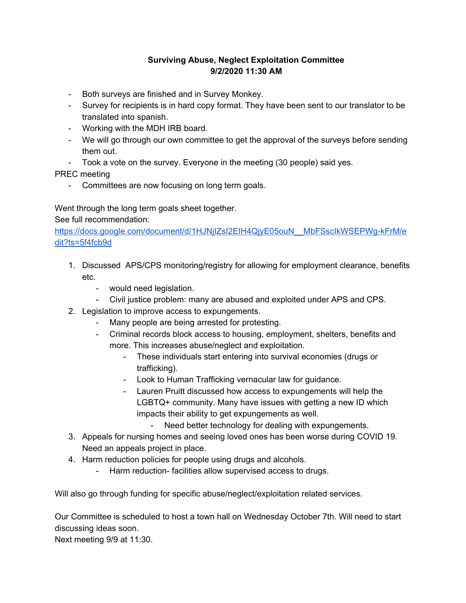## **Surviving Abuse, Neglect Exploitation Committee 9/2/2020 11:30 AM**

- Both surveys are finished and in Survey Monkey.
- Survey for recipients is in hard copy format. They have been sent to our translator to be translated into spanish.
- Working with the MDH IRB board.
- We will go through our own committee to get the approval of the surveys before sending them out.
- Took a vote on the survey. Everyone in the meeting (30 people) said yes.

PREC meeting

- Committees are now focusing on long term goals.

Went through the long term goals sheet together.

## See full recommendation:

[https://docs.google.com/document/d/1HJNjIZsI2EIH4QjyE05ouN\\_\\_MbFSscIkWSEPWg-kFrM/e](https://docs.google.com/document/d/1HJNjIZsI2EIH4QjyE05ouN__MbFSscIkWSEPWg-kFrM/edit?ts=5f4fcb9d) [dit?ts=5f4fcb9d](https://docs.google.com/document/d/1HJNjIZsI2EIH4QjyE05ouN__MbFSscIkWSEPWg-kFrM/edit?ts=5f4fcb9d)

- 1. Discussed APS/CPS monitoring/registry for allowing for employment clearance, benefits etc.
	- would need legislation.
	- Civil justice problem: many are abused and exploited under APS and CPS.
- 2. Legislation to improve access to expungements.
	- Many people are being arrested for protesting.
	- Criminal records block access to housing, employment, shelters, benefits and more. This increases abuse/neglect and exploitation.
		- These individuals start entering into survival economies (drugs or trafficking).
		- Look to Human Trafficking vernacular law for guidance.
		- Lauren Pruitt discussed how access to expungements will help the LGBTQ+ community. Many have issues with getting a new ID which impacts their ability to get expungements as well.
			- Need better technology for dealing with expungements.
- 3. Appeals for nursing homes and seeing loved ones has been worse during COVID 19. Need an appeals project in place.
- 4. Harm reduction policies for people using drugs and alcohols.
	- Harm reduction- facilities allow supervised access to drugs.

Will also go through funding for specific abuse/neglect/exploitation related services.

Our Committee is scheduled to host a town hall on Wednesday October 7th. Will need to start discussing ideas soon.

Next meeting 9/9 at 11:30.